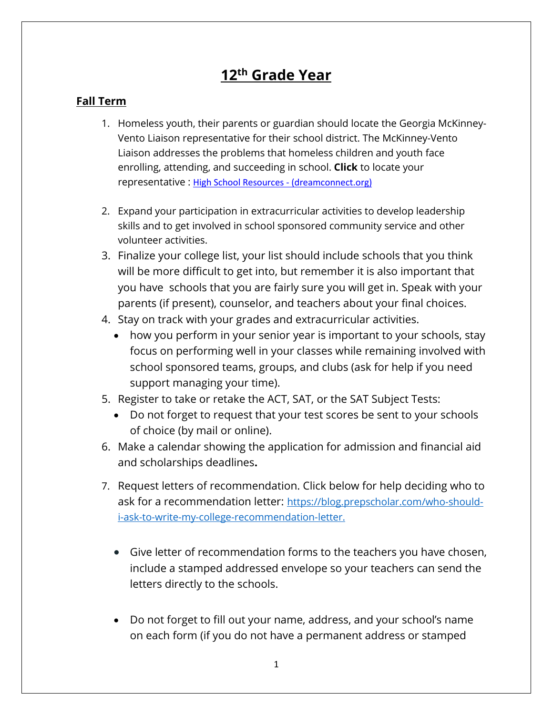# **12th Grade Year**

### **Fall Term**

- 1. Homeless youth, their parents or guardian should locate the Georgia McKinney-Vento Liaison representative for their school district. The McKinney-Vento Liaison addresses the problems that homeless children and youth face enrolling, attending, and succeeding in school. **Click** to locate your representative : [High School Resources - \(dreamconnect.org\)](https://dreamconnect.org/community-resources-directory/high-school-resources/)
- 2. Expand your participation in extracurricular activities to develop leadership skills and to get involved in school sponsored community service and other volunteer activities.
- 3. Finalize your college list, your list should include schools that you think will be more difficult to get into, but remember it is also important that you have schools that you are fairly sure you will get in. Speak with your parents (if present), counselor, and teachers about your final choices.
- 4. Stay on track with your grades and extracurricular activities.
	- how you perform in your senior year is important to your schools, stay focus on performing well in your classes while remaining involved with school sponsored teams, groups, and clubs (ask for help if you need support managing your time).
- 5. Register to take or retake the ACT, SAT, or the SAT Subject Tests:
	- Do not forget to request that your test scores be sent to your schools of choice (by mail or online).
- 6. Make a calendar showing the application for admission and financial aid and scholarships deadlines**.**
- 7. Request letters of recommendation. Click below for help deciding who to ask for a recommendation letter: [https://blog.prepscholar.com/who-should](https://blog.prepscholar.com/who-should-i-ask-to-write-my-college-recommendation-letter)[i-ask-to-write-my-college-recommendation-letter.](https://blog.prepscholar.com/who-should-i-ask-to-write-my-college-recommendation-letter) 
	- Give letter of recommendation forms to the teachers you have chosen, include a stamped addressed envelope so your teachers can send the letters directly to the schools.
	- Do not forget to fill out your name, address, and your school's name on each form (if you do not have a permanent address or stamped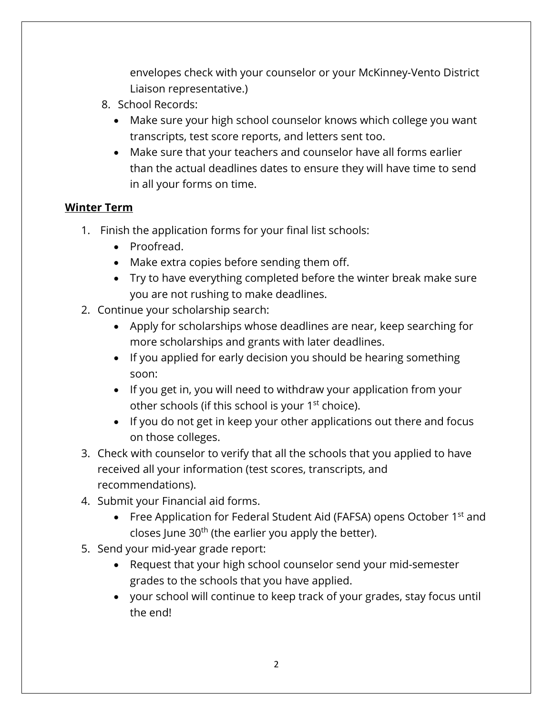envelopes check with your counselor or your McKinney-Vento District Liaison representative.)

- 8. School Records:
	- Make sure your high school counselor knows which college you want transcripts, test score reports, and letters sent too.
	- Make sure that your teachers and counselor have all forms earlier than the actual deadlines dates to ensure they will have time to send in all your forms on time.

## **Winter Term**

- 1. Finish the application forms for your final list schools:
	- Proofread.
	- Make extra copies before sending them off.
	- Try to have everything completed before the winter break make sure you are not rushing to make deadlines.
- 2. Continue your scholarship search:
	- Apply for scholarships whose deadlines are near, keep searching for more scholarships and grants with later deadlines.
	- If you applied for early decision you should be hearing something soon:
	- If you get in, you will need to withdraw your application from your other schools (if this school is your 1<sup>st</sup> choice).
	- If you do not get in keep your other applications out there and focus on those colleges.
- 3. Check with counselor to verify that all the schools that you applied to have received all your information (test scores, transcripts, and recommendations).
- 4. Submit your Financial aid forms.
	- Free Application for Federal Student Aid (FAFSA) opens October  $1<sup>st</sup>$  and closes June  $30<sup>th</sup>$  (the earlier you apply the better).
- 5. Send your mid-year grade report:
	- Request that your high school counselor send your mid-semester grades to the schools that you have applied.
	- your school will continue to keep track of your grades, stay focus until the end!